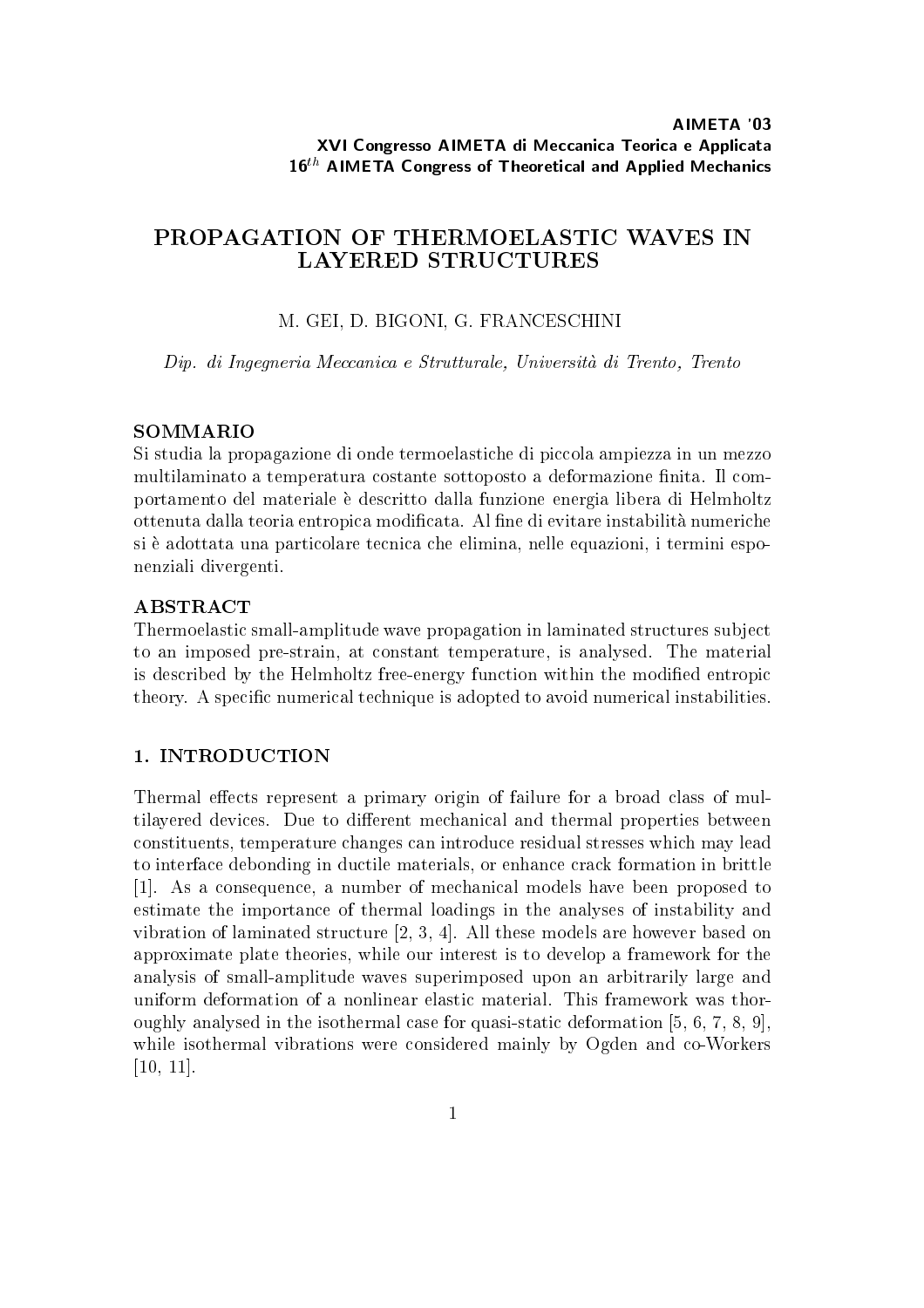# PROPAGATION OF THERMOELASTIC WAVES IN

### M. GEI, D. BIGONI, G. FRANCESCHINI

Dip. di Ingegneria Meccanica <sup>e</sup> Strutturale, Universita di Trento, Trento

#### SOMMARIO

Si studia la propagazione di onde termoelastiche di piccola ampiezza in un mezzo multilaminato a temperatura costante sottoposto a deformazione finita. Il comportamento del materiale è descritto dalla funzione energia libera di Helmholtz ottenuta dalla teoria entropica modificata. Al fine di evitare instabilità numeriche si e adottata una particolare tecnica che elimina, nelle equazioni, i termini esponenziali divergenti.

#### ABSTRACT

Thermoelastic small-amplitude wave propagation in laminated structures sub ject to an imposed pre-strain, at constant temperature, is analysed. The material is described by the Helmholtz free-energy function within the modied entropic theory. A specific numerical technique is adopted to avoid numerical instabilities.

#### 1. INTRODUCTION

Thermal effects represent a primary origin of failure for a broad class of multilayered devices. Due to different mechanical and thermal properties between constituents, temperature changes can introduce residual stresses which may lead to interface debonding in ductile materials, or enhance crack formation in brittle [1]. As a consequence, a number of mechanical models have been proposed to estimate the importance of thermal loadings in the analyses of instability and vibration of laminated structure [2, 3, 4]. All these models are however based on approximate plate theories, while our interest is to develop a framework for the analysis of small-amplitude waves superimposed upon an arbitrarily large and uniform deformation of a nonlinear elastic material. This framework was thoroughly analysed in the isothermal case for quasi-static deformation [5, 6, 7, 8, 9], while isothermal vibrations were considered mainly by Ogden and co-Workers [10, 11].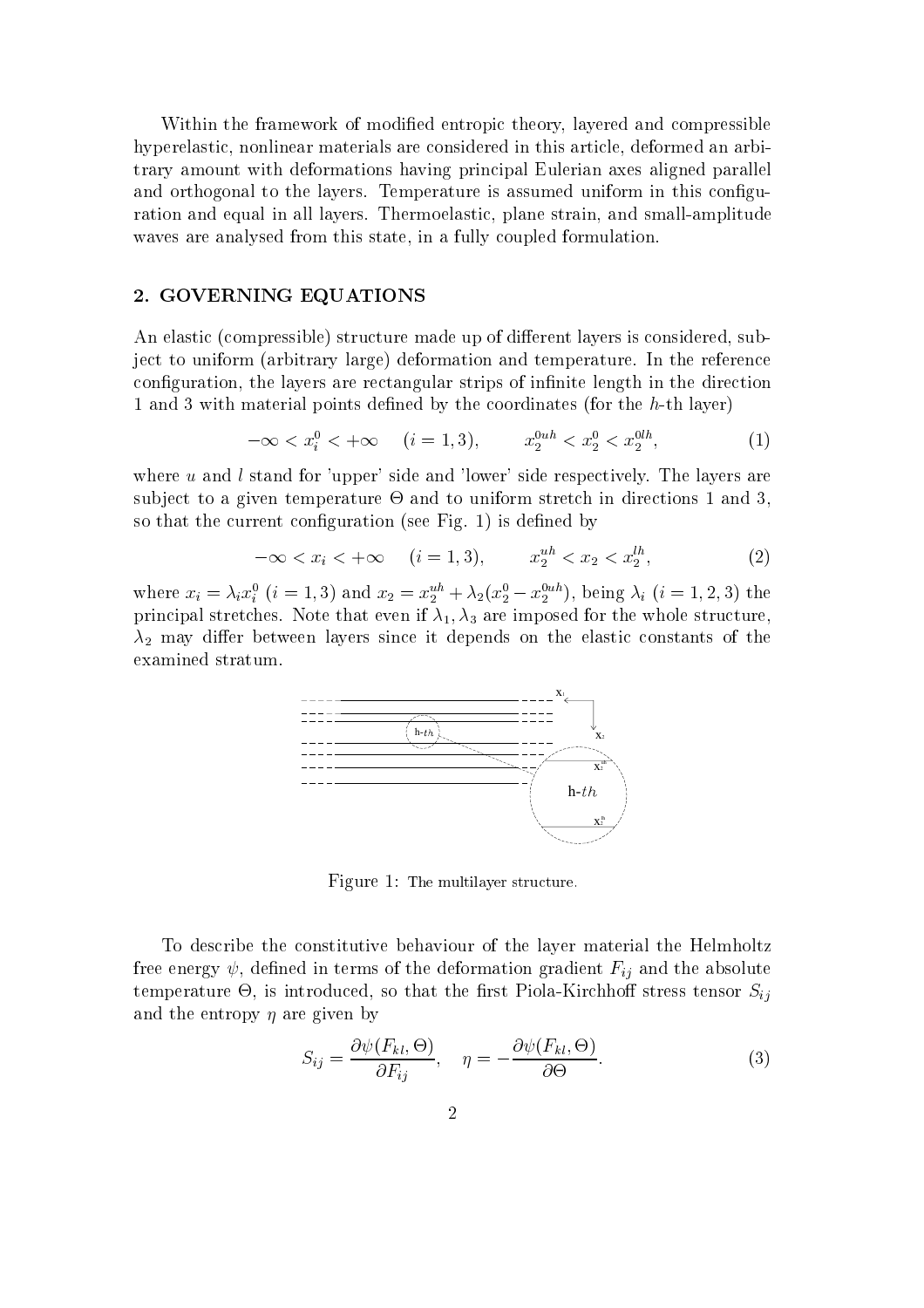Within the framework of modified entropic theory, layered and compressible hyperelastic, nonlinear materials are considered in this article, deformed an arbitrary amount with deformations having principal Eulerian axes aligned parallel and orthogonal to the layers. Temperature is assumed uniform in this configuration and equal in all layers. Thermoelastic, plane strain, and small-amplitude waves are analysed from this state, in a fully coupled formulation.

### 2. GOVERNING EQUATIONS

An elastic (compressible) structure made up of different layers is considered, subject to uniform (arbitrary large) deformation and temperature. In the reference configuration, the layers are rectangular strips of infinite length in the direction 1 and 3 with material points defined by the coordinates (for the h-th layer)

$$
-\infty < x_i^0 < +\infty \quad (i = 1, 3), \qquad x_2^{0uh} < x_2^0 < x_2^{0lh}, \tag{1}
$$

where  $u$  and  $l$  stand for 'upper' side and 'lower' side respectively. The layers are sub ject to a given temperature - and to uniform stretch in directions 1 and 3, so that the current configuration (see Fig. 1) is defined by

$$
-\infty < x_i < +\infty \quad (i = 1, 3), \qquad x_2^{uh} < x_2 < x_2^{lh}, \tag{2}
$$

where  $x_i = \lambda_i x_i$   $(i = 1, 3)$  and  $x_2 = x_2^{\dots} + \lambda_2 (x_2 - x_2^{\dots})$ , being  $\lambda_i$   $(i = 1, 2, 3)$  the principal stretches. Note that even if  $\lambda_1$ ,  $\lambda_3$  are imposed for the whole structure,  $\lambda_2$  may differ between layers since it depends on the elastic constants of the examined stratum.



Figure 1: The multilayer structure.

To describe the constitutive behaviour of the layer material the Helmholtz free energy  $\psi$ , defined in terms of the deformation gradient  $F_{ij}$  and the absolute temperature -, is introduced, so that the rst Piola-Kirchho stress tensor Sij and the entropy  $\eta$  are given by

$$
S_{ij} = \frac{\partial \psi(F_{kl}, \Theta)}{\partial F_{ij}}, \quad \eta = -\frac{\partial \psi(F_{kl}, \Theta)}{\partial \Theta}.
$$
 (3)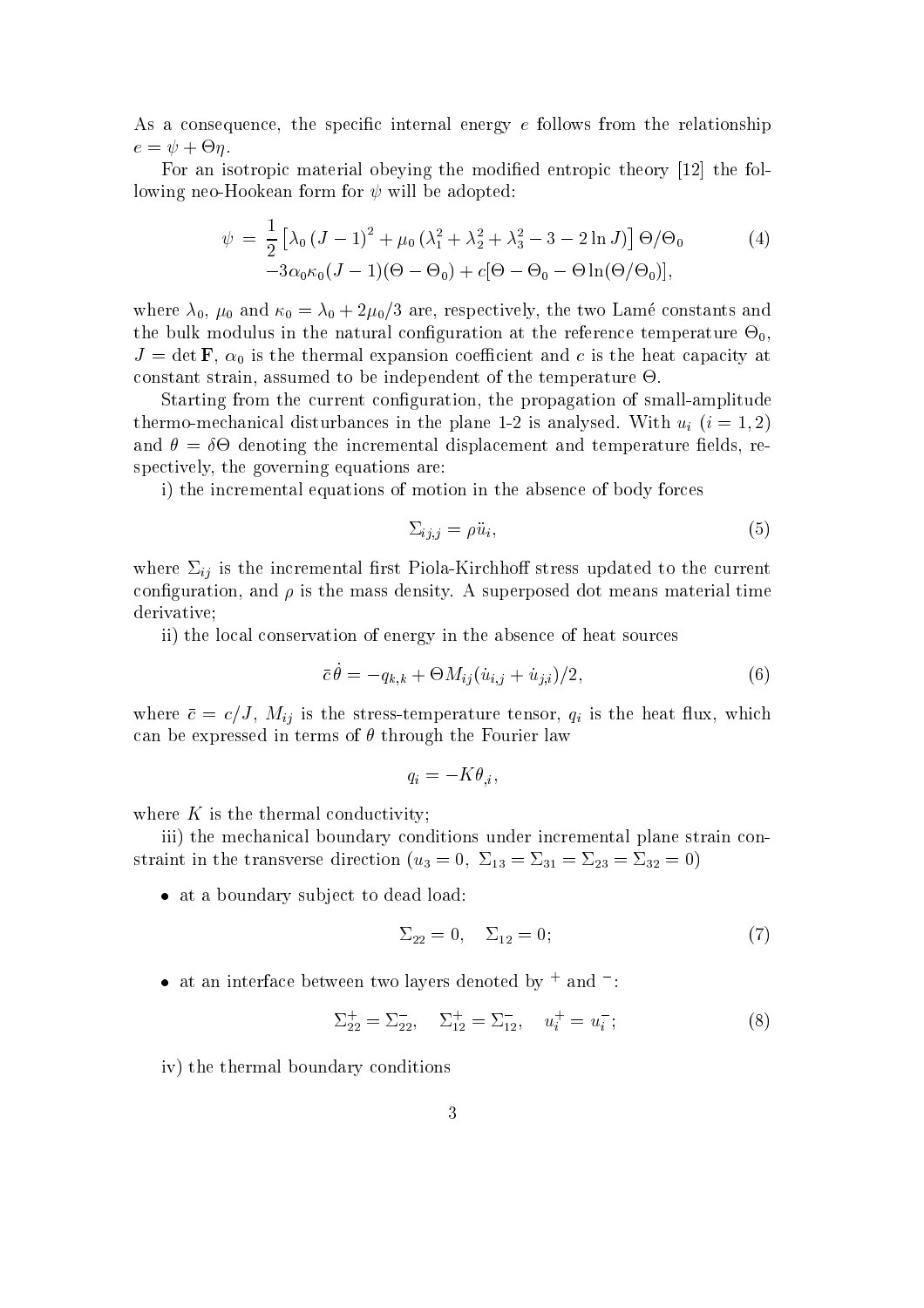As a consequence, the specific internal energy  $e$  follows from the relationship e = + -.

For an isotropic material obeying the modified entropic theory [12] the following neo-Hookean form for  $\psi$  will be adopted:

$$
\psi = \frac{1}{2} \left[ \lambda_0 (J - 1)^2 + \mu_0 (\lambda_1^2 + \lambda_2^2 + \lambda_3^2 - 3 - 2 \ln J) \right] \Theta / \Theta_0
$$
\n
$$
-3\alpha_0 \kappa_0 (J - 1)(\Theta - \Theta_0) + c[\Theta - \Theta_0 - \Theta \ln(\Theta / \Theta_0)],
$$
\n(4)

where  $\lambda_0$ ,  $\mu_0$  and  $\kappa_0 = \lambda_0 + 2\mu_0/3$  are, respectively, the two Lamé constants and the bulk modulus modulus in the natural control atthe reference temperature - the reference temperature -  $\sim 0$  ;  $J = \det \mathbf{F}$ ,  $\alpha_0$  is the thermal expansion coefficient and c is the heat capacity at constant strain, assumed to be independent of the temperature -.

Starting from the current configuration, the propagation of small-amplitude thermo-mechanical disturbances in the plane 1-2 is analysed. With  $u_i$   $(i = 1, 2)$ and = - denoting the incremental displacement and temperature elds, respectively, the governing equations are:

i) the incremental equations of motion in the absence of body forces

$$
\Sigma_{ij,j} = \rho \ddot{u}_i,\tag{5}
$$

where  $\Sigma_{ij}$  is the incremental first Piola-Kirchhoff stress updated to the current configuration, and  $\rho$  is the mass density. A superposed dot means material time derivative;

ii) the local conservation of energy in the absence of heat sources

$$
\bar{c}\,\dot{\theta} = -q_{k,k} + \Theta M_{ij}(\dot{u}_{i,j} + \dot{u}_{j,i})/2,\tag{6}
$$

where  $\bar{c} = c/J$ ,  $M_{ij}$  is the stress-temperature tensor,  $q_i$  is the heat flux, which can be expressed in terms of  $\theta$  through the Fourier law

$$
q_i = -K\theta_{,i},
$$

where  $K$  is the thermal conductivity;

iii) the mechanical boundary conditions under incremental plane strain constraint in the transverse direction ( $u_3 = 0$ ,  $\Sigma_{13} = \Sigma_{31} = \Sigma_{23} = \Sigma_{32} = 0$ )

 $\bullet$  at a boundary subject to dead load:

$$
\Sigma_{22} = 0, \quad \Sigma_{12} = 0; \tag{7}
$$

 $\bullet$  at an interface between two layers denoted by  $+$  and  $-$  :

$$
\Sigma_{22}^+ = \Sigma_{22}^- , \quad \Sigma_{12}^+ = \Sigma_{12}^- , \quad u_i^+ = u_i^- ; \tag{8}
$$

iv) the thermal boundary conditions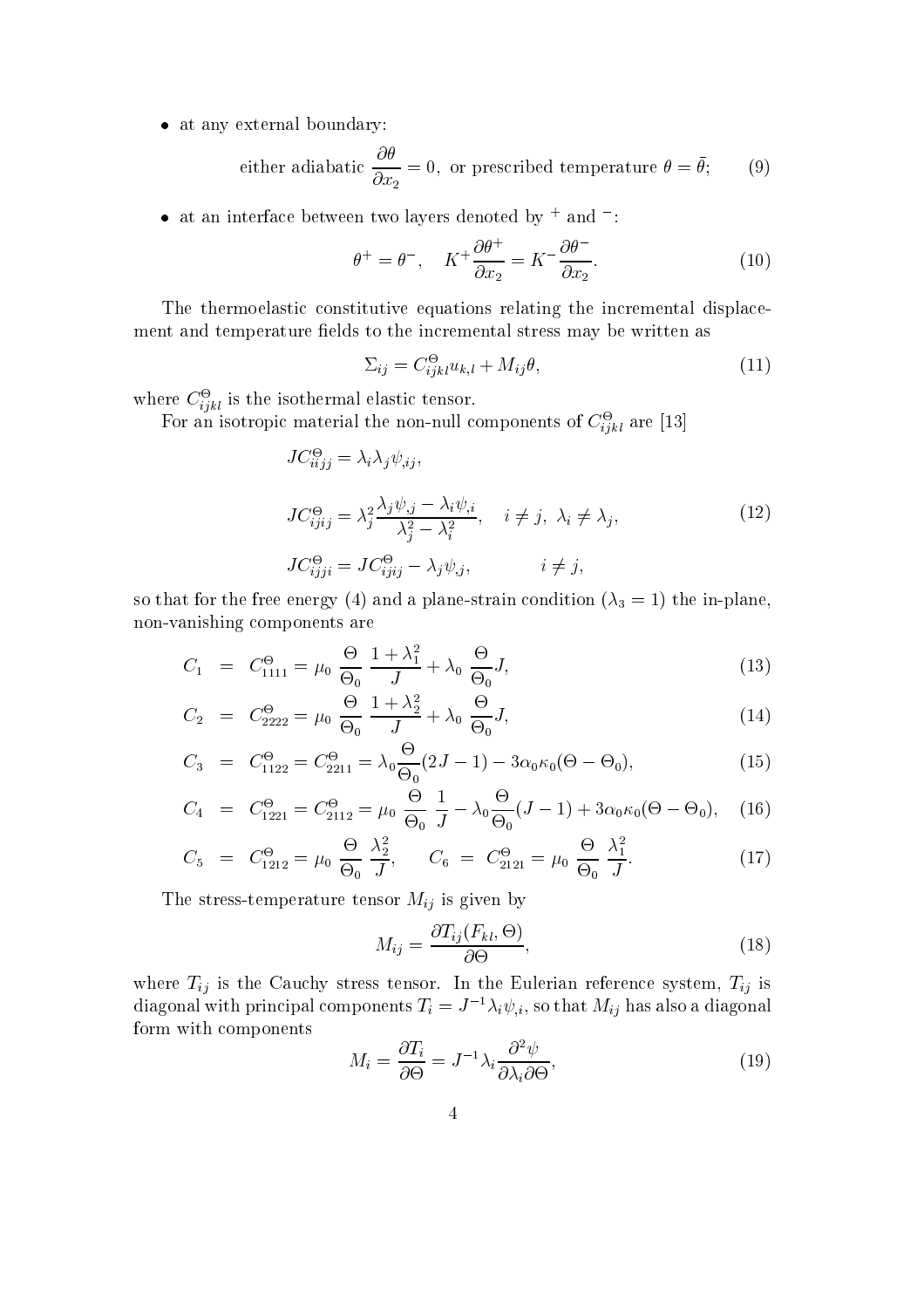at any external boundary:

either adiabatic 
$$
\frac{\partial \theta}{\partial x_2} = 0
$$
, or prescribed temperature  $\theta = \bar{\theta}$ ; (9)

 $\bullet$  at an interface between two layers denoted by  $^+$  and  $^-$ :

$$
\theta^+ = \theta^-, \quad K^+ \frac{\partial \theta^+}{\partial x_2} = K^- \frac{\partial \theta^-}{\partial x_2}.
$$
 (10)

The thermoelastic constitutive equations relating the incremental displacement and temperature fields to the incremental stress may be written as

$$
\Sigma_{ij} = C_{ijkl}^{\Theta} u_{k,l} + M_{ij}\theta,\tag{11}
$$

where  $\cup_{i\dot{i}kl}$  is the isothermal elastic tensor.

For an isotropic material the non-null components of  $C_{ijkl}^-$  are [15]

$$
JC_{iijj}^{\Theta} = \lambda_i \lambda_j \psi_{,ij},
$$
  
\n
$$
JC_{ijij}^{\Theta} = \lambda_j^2 \frac{\lambda_j \psi_{,j} - \lambda_i \psi_{,i}}{\lambda_j^2 - \lambda_i^2}, \quad i \neq j, \ \lambda_i \neq \lambda_j,
$$
  
\n
$$
JC_{ijji}^{\Theta} = JC_{ijij}^{\Theta} - \lambda_j \psi_{,j}, \qquad i \neq j,
$$
  
\n(12)

so that for the free energy (4) and a plane-strain condition ( $\lambda_3 = 1$ ) the in-plane, non-vanishing components are

$$
C_1 = C_{1111}^{\Theta} = \mu_0 \frac{\Theta}{\Theta_0} \frac{1 + \lambda_1^2}{J} + \lambda_0 \frac{\Theta}{\Theta_0} J,
$$
\n(13)

$$
C_2 = C_{2222}^{\Theta} = \mu_0 \frac{\Theta}{\Theta_0} \frac{1 + \lambda_2^2}{J} + \lambda_0 \frac{\Theta}{\Theta_0} J,
$$
\n(14)

$$
C_3 = C_{1122}^{\Theta} = C_{2211}^{\Theta} = \lambda_0 \frac{\Theta}{\Theta_0} (2J - 1) - 3\alpha_0 \kappa_0 (\Theta - \Theta_0), \qquad (15)
$$

$$
C_4 = C_{1221}^{\Theta} = C_{2112}^{\Theta} = \mu_0 \frac{\Theta}{\Theta_0} \frac{1}{J} - \lambda_0 \frac{\Theta}{\Theta_0} (J - 1) + 3\alpha_0 \kappa_0 (\Theta - \Theta_0), \quad (16)
$$

$$
C_5 = C_{1212}^{\Theta} = \mu_0 \frac{\Theta}{\Theta_0} \frac{\lambda_2^2}{J}, \qquad C_6 = C_{2121}^{\Theta} = \mu_0 \frac{\Theta}{\Theta_0} \frac{\lambda_1^2}{J}.
$$
 (17)

The stress-temperature tensor  $M_{ij}$  is given by

$$
M_{ij} = \frac{\partial T_{ij}(F_{kl}, \Theta)}{\partial \Theta},\tag{18}
$$

where  $T_{ij}$  is the Cauchy stress tensor. In the Eulerian reference system,  $T_{ij}$  is diagonal with principal components  $T_i = J^{-1} \lambda_i \psi_{i,j}$ , so that  $M_{ij}$  has also a diagonal form with components

$$
M_i = \frac{\partial T_i}{\partial \Theta} = J^{-1} \lambda_i \frac{\partial^2 \psi}{\partial \lambda_i \partial \Theta},\tag{19}
$$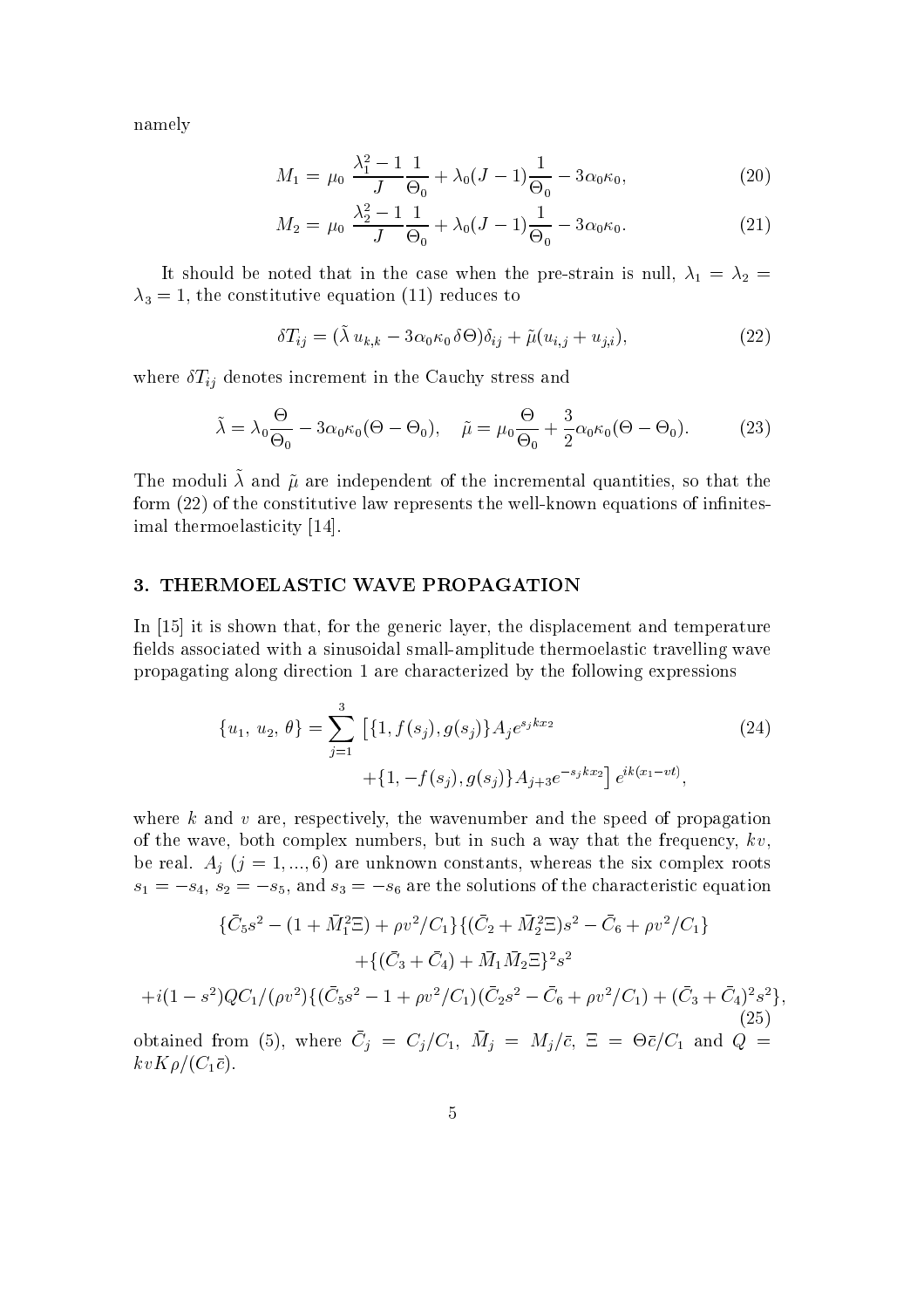namely

$$
M_1 = \mu_0 \frac{\lambda_1^2 - 1}{J} \frac{1}{\Theta_0} + \lambda_0 (J - 1) \frac{1}{\Theta_0} - 3\alpha_0 \kappa_0, \tag{20}
$$

$$
M_2 = \mu_0 \frac{\lambda_2^2 - 1}{J} \frac{1}{\Theta_0} + \lambda_0 (J - 1) \frac{1}{\Theta_0} - 3\alpha_0 \kappa_0. \tag{21}
$$

It should be noted that in the case when the pre-strain is null,  $\lambda_1 = \lambda_2$  $\lambda_3 = 1$ , the constitutive equation (11) reduces to

$$
\delta T_{ij} = (\tilde{\lambda} u_{k,k} - 3\alpha_0 \kappa_0 \,\delta\Theta) \delta_{ij} + \tilde{\mu}(u_{i,j} + u_{j,i}),\tag{22}
$$

where  $\delta T_{ij}$  denotes increment in the Cauchy stress and

$$
\tilde{\lambda} = \lambda_0 \frac{\Theta}{\Theta_0} - 3\alpha_0 \kappa_0 (\Theta - \Theta_0), \quad \tilde{\mu} = \mu_0 \frac{\Theta}{\Theta_0} + \frac{3}{2} \alpha_0 \kappa_0 (\Theta - \Theta_0). \tag{23}
$$

The moduli  $\wedge$  and  $\mu$  are independent of the incremental quantities, so that the form  $(22)$  of the constitutive law represents the well-known equations of infinitesimal thermoelasticity [14].

## 3. THERMOELASTIC WAVE PROPAGATION

In [15] it is shown that, for the generic layer, the displacement and temperature fields associated with a sinusoidal small-amplitude thermoelastic travelling wave propagating along direction 1 are characterized by the following expressions

$$
\{u_1, u_2, \theta\} = \sum_{j=1}^3 \left[ \{1, f(s_j), g(s_j)\} A_j e^{s_j k x_2} + \{1, -f(s_j), g(s_j)\} A_{j+3} e^{-s_j k x_2} \right] e^{ik(x_1 - vt)},
$$
\n(24)

where  $k$  and  $v$  are, respectively, the wavenumber and the speed of propagation of the wave, both complex numbers, but in such a way that the frequency,  $kv$ , be real.  $A_i$  (j = 1, ..., 6) are unknown constants, whereas the six complex roots  $s_1 = -s_4$ ,  $s_2 = -s_5$ , and  $s_3 = -s_6$  are the solutions of the characteristic equation

$$
\{\bar{C}_5s^2 - (1 + \bar{M}_1^2 \Xi) + \rho v^2 / C_1\} \{(\bar{C}_2 + \bar{M}_2^2 \Xi)s^2 - \bar{C}_6 + \rho v^2 / C_1\} \n+ \{(\bar{C}_3 + \bar{C}_4) + \bar{M}_1 \bar{M}_2 \Xi\}^2 s^2 \n+ i(1 - s^2)QC_1/(\rho v^2) \{(\bar{C}_5s^2 - 1 + \rho v^2 / C_1)(\bar{C}_2s^2 - \bar{C}_6 + \rho v^2 / C_1) + (\bar{C}_3 + \bar{C}_4)^2 s^2\},
$$
\nobtained from (5), where  $\bar{C}_j = C_j / C_1$ ,  $\bar{M}_j = M_j / \bar{c}$ ,  $\Xi = \Theta \bar{c}/C_1$  and  $Q =$ \n
$$
kv K \rho / (C_1 \bar{c}).
$$
\n(25)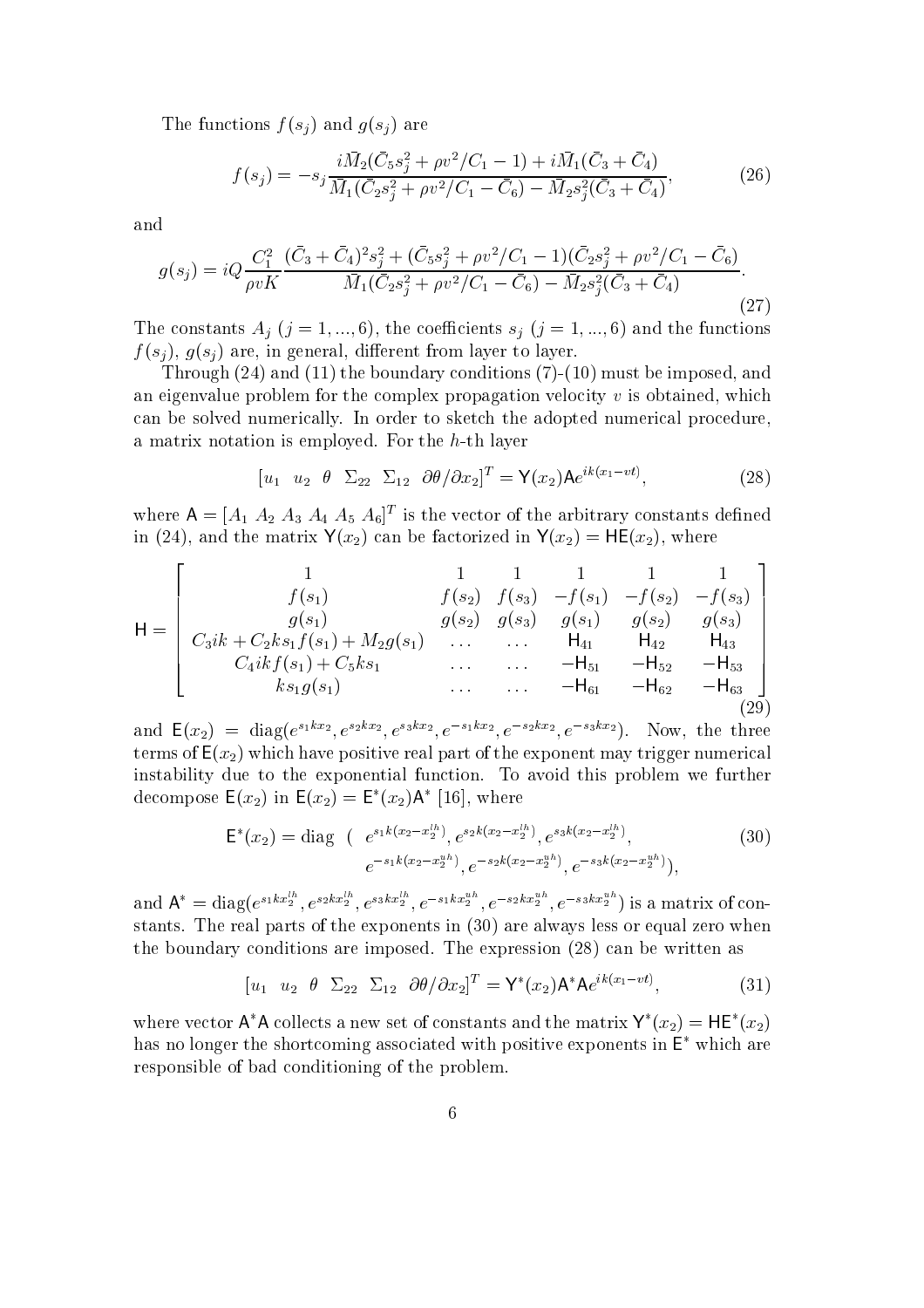The functions  $f(s_i)$  and  $g(s_i)$  are

$$
f(s_j) = -s_j \frac{i\bar{M}_2(\bar{C}_5 s_j^2 + \rho v^2 / C_1 - 1) + i\bar{M}_1(\bar{C}_3 + \bar{C}_4)}{\bar{M}_1(\bar{C}_2 s_j^2 + \rho v^2 / C_1 - \bar{C}_6) - \bar{M}_2 s_j^2(\bar{C}_3 + \bar{C}_4)},
$$
(26)

and

$$
g(s_j) = iQ \frac{C_1^2}{\rho v K} \frac{(\bar{C}_3 + \bar{C}_4)^2 s_j^2 + (\bar{C}_5 s_j^2 + \rho v^2 / C_1 - 1)(\bar{C}_2 s_j^2 + \rho v^2 / C_1 - \bar{C}_6)}{\bar{M}_1(\bar{C}_2 s_j^2 + \rho v^2 / C_1 - \bar{C}_6) - \bar{M}_2 s_j^2 (\bar{C}_3 + \bar{C}_4)}.
$$
\n(27)

The constants  $A_j$   $(j = 1, ..., 6)$ , the coefficients  $s_j$   $(j = 1, ..., 6)$  and the functions  $f(s_i)$ ,  $g(s_i)$  are, in general, different from layer to layer.

Through (24) and (11) the boundary conditions (7)-(10) must be imposed, and an eigenvalue problem for the complex propagation velocity  $v$  is obtained, which can be solved numerically. In order to sketch the adopted numerical procedure, a matrix notation is employed. For the h-th layer

$$
[u_1 \quad u_2 \quad \theta \quad \Sigma_{22} \quad \Sigma_{12} \quad \partial \theta / \partial x_2]^T = \mathbf{Y}(x_2) \mathbf{A} e^{ik(x_1 - vt)}, \tag{28}
$$

where  $A = [A_1 \ A_2 \ A_3 \ A_4 \ A_5 \ A_6]^T$  is the vector of the arbitrary constants defined in (24), and the matrix  $Y(x_2)$  can be factorized in  $Y(x_2) = HE(x_2)$ , where

$$
\mathsf{H} = \left[\begin{array}{ccccc} 1 & 1 & 1 & 1 & 1 & 1 \\ f(s_1) & f(s_2) & f(s_3) & -f(s_1) & -f(s_2) & -f(s_3) \\ g(s_1) & g(s_2) & g(s_3) & g(s_1) & g(s_2) & g(s_3) \\ C_3ik + C_2ks_1f(s_1) + M_2g(s_1) & \dots & \dots & H_{41} & H_{42} & H_{43} \\ C_4ikf(s_1) + C_5ks_1 & \dots & \dots & -H_{51} & -H_{52} & -H_{53} \\ ks_1g(s_1) & \dots & \dots & \dots & -H_{61} & -H_{62} & -H_{63} \end{array}\right]
$$

and  $E(x_2) = diag(e^{s_1kx_2}, e^{s_2kx_2}, e^{s_3kx_2}, e^{-s_1kx_2}, e^{-s_2kx_2}, e^{-s_3kx_2})$ . Now, the three terms of  $E(x_2)$  which have positive real part of the exponent may trigger numerical instability due to the exponential function. To avoid this problem we further decompose  $E(x_2)$  in  $E(x_2) = E^*(x_2)A^*$  [16], where

$$
\mathsf{E}^*(x_2) = \text{diag} \quad (e^{s_1 k (x_2 - x_2^{lh})}, e^{s_2 k (x_2 - x_2^{lh})}, e^{s_3 k (x_2 - x_2^{lh})}, \quad (30)
$$
\n
$$
e^{-s_1 k (x_2 - x_2^{uh})}, e^{-s_2 k (x_2 - x_2^{uh})}, e^{-s_3 k (x_2 - x_2^{uh})}),
$$

 $\sqrt{2}$ 

and  $A^* = diag(e^{s_1kx_2}, e^{s_2kx_2}, e^{s_3kx_2}, e^{-s_1kx_2}, e^{-s_2kx_2}, e^{-s_3kx_2}, e^{-s_3kx_2})$  is a matrix of constants. The real parts of the exponents in (30) are always less or equal zero when the boundary conditions are imposed. The expression (28) can be written as

$$
\begin{bmatrix} u_1 & u_2 & \theta & \Sigma_{22} & \Sigma_{12} & \partial \theta / \partial x_2 \end{bmatrix}^T = \mathsf{Y}^*(x_2) \mathsf{A}^* \mathsf{A} e^{ik(x_1 - vt)},\tag{31}
$$

where vector  $A^*A$  collects a new set of constants and the matrix  $Y^*(x_2) = HE^*(x_2)$ has no longer the shortcoming associated with positive exponents in  $E^*$  which are responsible of bad conditioning of the problem.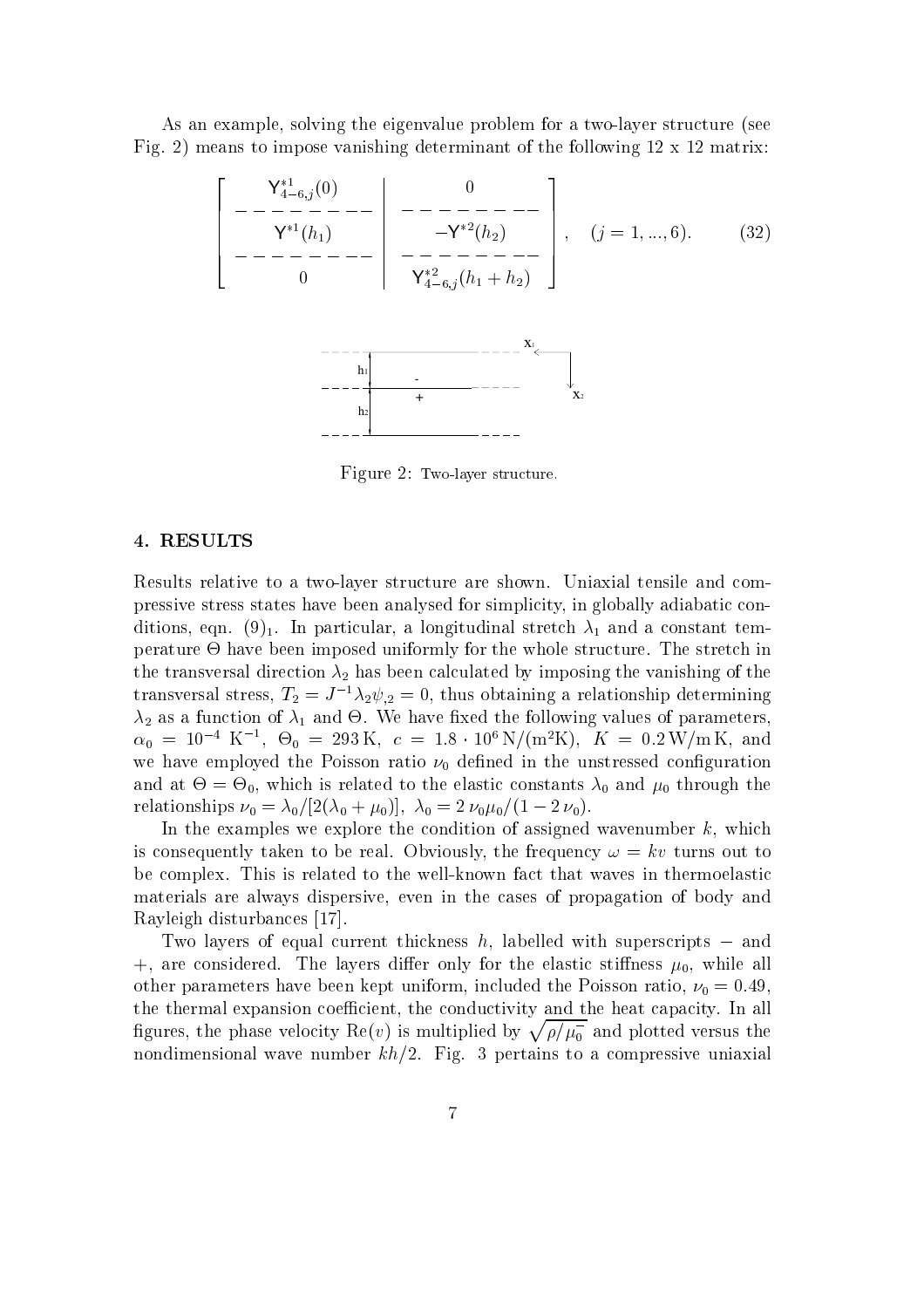As an example, solving the eigenvalue problem for a two-layer structure (see Fig. 2) means to impose vanishing determinant of the following 12 x 12 matrix:

$$
\begin{bmatrix}\nY_{4-6,j}^{*1}(0) & 0 \\
-\frac{\mathsf{Y}^{*1}(h_1)}{\mathsf{Y}^{*1}(h_1)} & -\frac{\mathsf{Y}^{*2}(h_2)}{-\mathsf{Y}^{*2}(h_2)} \\
-\frac{\mathsf{Y}^{*1}(h_1)}{\mathsf{Y}^{*2}_{4-6,j}(h_1+h_2)}\n\end{bmatrix}, \quad (j = 1, ..., 6).
$$
\n(32)



Figure 2: Two-layer structure.

#### 4. RESULTS

Results relative to a two-layer structure are shown. Uniaxial tensile and compressive stress states have been analysed for simplicity, in globally adiabatic conditions, eqn. (9)<sub>1</sub>. In particular, a longitudinal stretch  $\lambda_1$  and a constant temperature - have been interesting the whole structure. The structure interesting in the stretch interesting in the transversal direction  $\lambda_2$  has been calculated by imposing the vanishing of the transversal stress,  $T_2 = J^{-1}\lambda_2\psi_{,2} = 0$ , thus obtaining a relationship determining 2 as <sup>a</sup> function of 1 and -. We have xed the following values of parameters,  $\alpha_0 = 10$  K,  $\Theta_0 = 293 \text{ K}$ ,  $c = 1.8 \cdot 10^{\circ} \text{ N} / (\text{m}^2 \text{ K})$ ,  $K = 0.2 \text{ W} / \text{m}$  K, and we have employed the Poisson ratio  $\nu_0$  defined in the unstressed configuration and at-definition is related to the elastic constants  $\mathbf{0}$  and  $\mathbf{0}$  and  $\mathbf{0}$ relationships  $\nu_0 = \lambda_0/[2(\lambda_0 + \mu_0)], \lambda_0 = 2 \nu_0 \mu_0/(1 - 2 \nu_0).$ 

In the examples we explore the condition of assigned wavenumber  $k$ , which is consequently taken to be real. Obviously, the frequency  $\omega = kv$  turns out to be complex. This is related to the well-known fact that waves in thermoelastic materials are always dispersive, even in the cases of propagation of body and Rayleigh disturbances [17].

Two layers of equal current thickness h, labelled with superscripts  $-$  and +, are considered. The layers differ only for the elastic stiffness  $\mu_0$ , while all other parameters have been kept uniform, included the Poisson ratio,  $\nu_0 = 0.49$ , the thermal expansion coefficient, the conductivity and the heat capacity. In all figures, the phase velocity  $\text{Re}(v)$  is multiplied by  $\sqrt{\rho/\mu_0^-}$  and plotted versus the nondimensional wave number  $kh/2$ . Fig. 3 pertains to a compressive uniaxial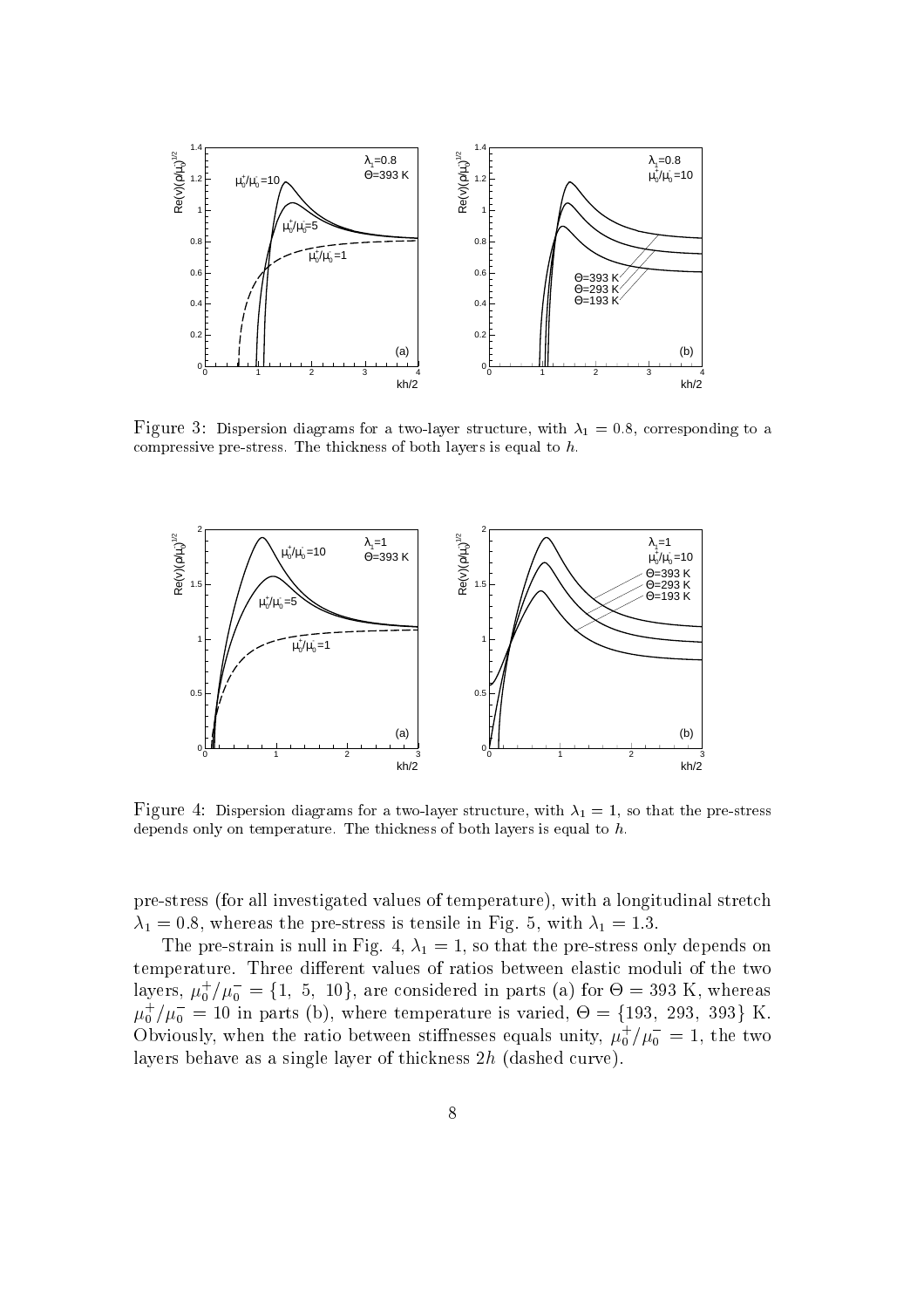

Figure 3: Dispersion diagrams for a two-layer structure, with  $\lambda_1 = 0.8$ , corresponding to a compressive pre-stress. The thickness of both layers is equal to  $\hbar$ 



Figure 4: Dispersion diagrams for a two-layer structure, with  $\lambda_1 = 1$ , so that the pre-stress depends only on temperature. The thickness of both layers is equal to h.

pre-stress (for all investigated values of temperature), with a longitudinal stretch  $\lambda_1 = 0.8$ , whereas the pre-stress is tensile in Fig. 5, with  $\lambda_1 = 1.3$ .

The pre-strain is null in Fig. 4,  $\lambda_1 = 1$ , so that the pre-stress only depends on temperature. Three different values of ratios between elastic moduli of the two layers,  $\mu_0^+/\mu_0^- = \{1, 5, 10\}$ , are considered in parts (a) for  $\Theta = 393$  K, whereas  $\mu_0^+/\mu_0^- = 10$  in parts (b), where temperature is varied,  $\Theta = \{193, 293, 393\}$  K. Obviously, when the ratio between stiffnesses equals unity,  $\mu_0^+/\mu_0^-=1$ , the two layers behave as a single layer of thickness 2h (dashed curve).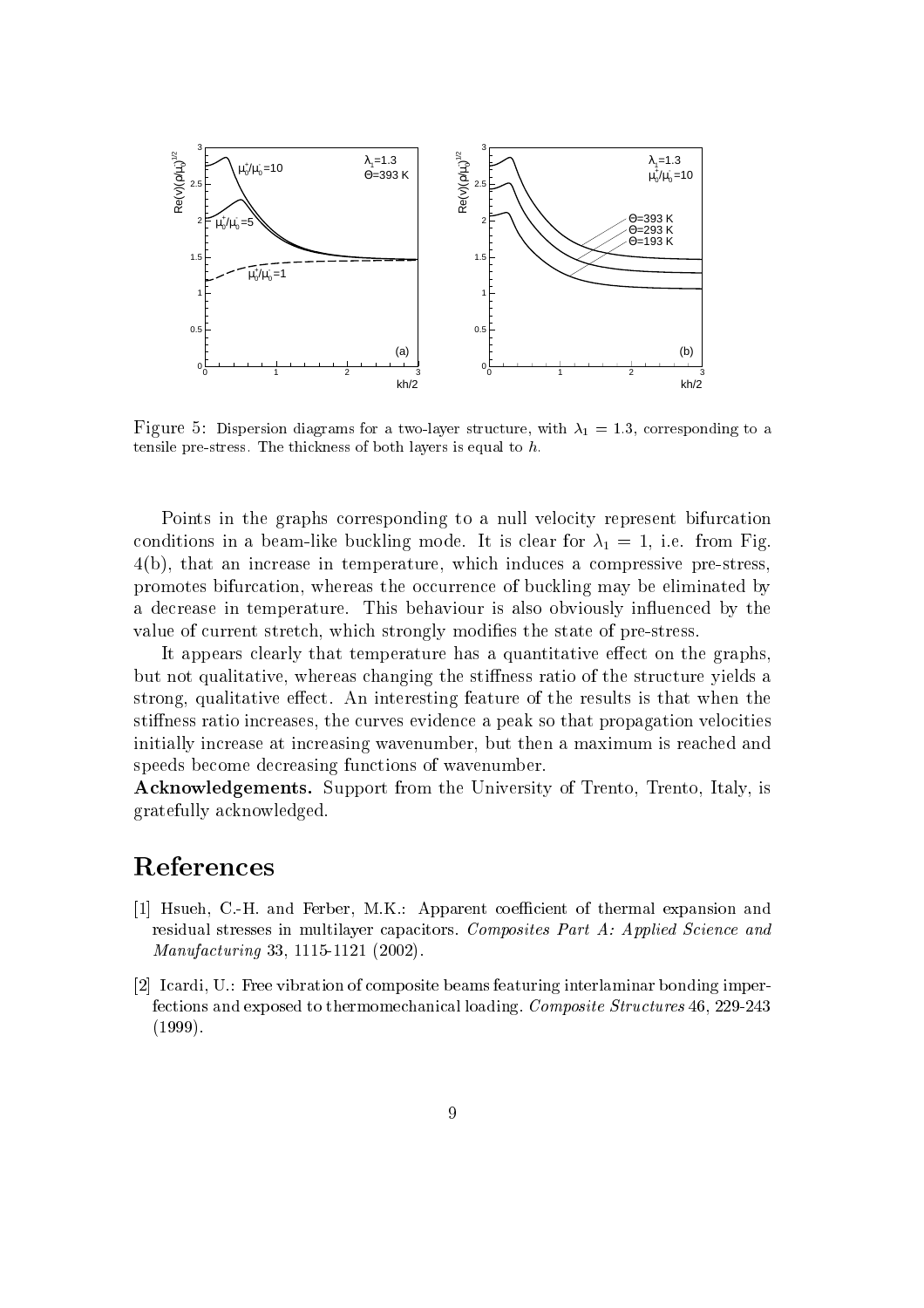

Figure 5: Dispersion diagrams for a two-layer structure, with  $\lambda_1 = 1.3$ , corresponding to a tensile pre-stress. The thickness of both layers is equal to  $\mu$ .

Points in the graphs corresponding to a null velocity represent bifurcation conditions in a beam-like buckling mode. It is clear for  $\lambda_1 = 1$ , i.e. from Fig. 4(b), that an increase in temperature, which induces a compressive pre-stress, promotes bifurcation, whereas the occurrence of buckling may be eliminated by a decrease in temperature. This behaviour is also obviously in
uenced by the value of current stretch, which strongly modies the state of pre-stress.

It appears clearly that temperature has a quantitative effect on the graphs, but not qualitative, whereas changing the stiness ratio of the structure yields a strong, qualitative effect. An interesting feature of the results is that when the stiffness ratio increases, the curves evidence a peak so that propagation velocities initially increase at increasing wavenumber, but then a maximum is reached and speeds become decreasing functions of wavenumber.

Acknowledgements. Support from the University of Trento, Trento, Italy, is gratefully acknowledged.

# References

- [1] Hsueh, C.-H. and Ferber, M.K.: Apparent coefficient of thermal expansion and residual stresses in multilayer capacitors. Composites Part A: Applied Science and Manufacturing 33, 1115-1121 (2002).
- [2] Icardi, U.: Free vibration of composite beams featuring interlaminar bonding imperfections and exposed to thermomechanical loading. Composite Structures 46, 229-243 (1999).